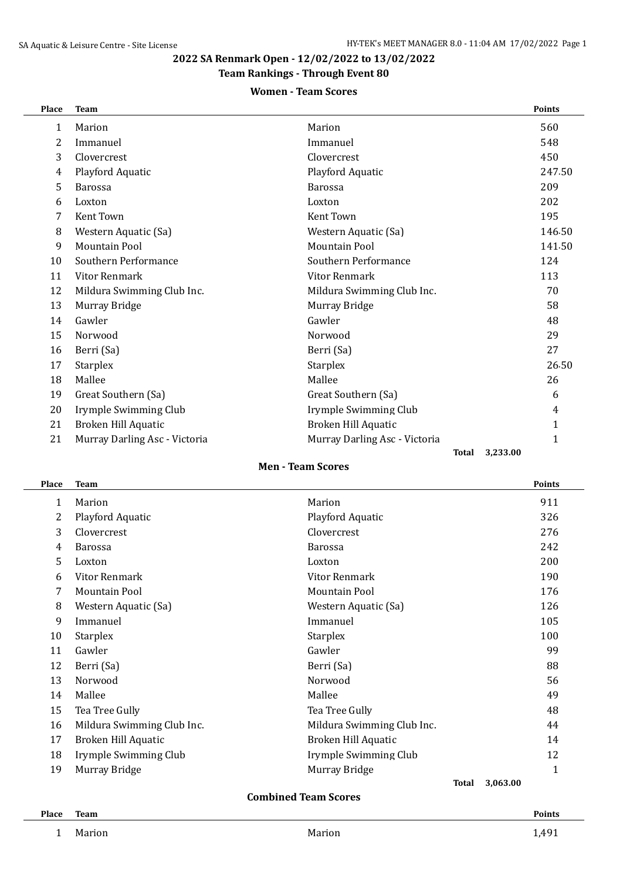**2022 SA Renmark Open - 12/02/2022 to 13/02/2022**

# **Team Rankings - Through Event 80**

## **Women - Team Scores**

| Place          | <b>Team</b>                   |                               |              | <b>Points</b> |
|----------------|-------------------------------|-------------------------------|--------------|---------------|
| 1              | Marion                        | Marion                        |              | 560           |
| $\overline{2}$ | Immanuel                      | Immanuel                      |              | 548           |
| 3              | Clovercrest                   | Clovercrest                   |              | 450           |
| 4              | Playford Aquatic              | Playford Aquatic              |              | 247.50        |
| 5              | <b>Barossa</b>                | <b>Barossa</b>                |              | 209           |
| 6              | Loxton                        | Loxton                        |              | 202           |
| 7              | <b>Kent Town</b>              | <b>Kent Town</b>              |              | 195           |
| 8              | Western Aquatic (Sa)          | Western Aquatic (Sa)          |              | 146.50        |
| 9              | <b>Mountain Pool</b>          | <b>Mountain Pool</b>          |              | 141.50        |
| 10             | Southern Performance          | Southern Performance          |              | 124           |
| 11             | <b>Vitor Renmark</b>          | <b>Vitor Renmark</b>          |              | 113           |
| 12             | Mildura Swimming Club Inc.    | Mildura Swimming Club Inc.    |              | 70            |
| 13             | Murray Bridge                 | Murray Bridge                 |              | 58            |
| 14             | Gawler                        | Gawler                        |              | 48            |
| 15             | Norwood                       | Norwood                       |              | 29            |
| 16             | Berri (Sa)                    | Berri (Sa)                    |              | 27            |
| 17             | <b>Starplex</b>               | Starplex                      |              | 26.50         |
| 18             | Mallee                        | Mallee                        |              | 26            |
| 19             | Great Southern (Sa)           | Great Southern (Sa)           |              | 6             |
| 20             | Irymple Swimming Club         | Irymple Swimming Club         |              | 4             |
| 21             | Broken Hill Aquatic           | Broken Hill Aquatic           |              | 1             |
| 21             | Murray Darling Asc - Victoria | Murray Darling Asc - Victoria |              | 1             |
|                |                               |                               | <b>Total</b> | 3,233.00      |

**Men - Team Scores**

| Place | Team                        |                            |              | <b>Points</b> |  |  |  |
|-------|-----------------------------|----------------------------|--------------|---------------|--|--|--|
| 1     | Marion                      | Marion                     |              | 911           |  |  |  |
| 2     | Playford Aquatic            | Playford Aquatic           |              | 326           |  |  |  |
| 3     | Clovercrest                 | Clovercrest                |              | 276           |  |  |  |
| 4     | <b>Barossa</b>              | <b>Barossa</b>             |              | 242           |  |  |  |
| 5     | Loxton                      | Loxton                     |              | 200           |  |  |  |
| 6     | Vitor Renmark               | <b>Vitor Renmark</b>       |              | 190           |  |  |  |
| 7     | Mountain Pool               | Mountain Pool              |              | 176           |  |  |  |
| 8     | Western Aquatic (Sa)        | Western Aquatic (Sa)       |              | 126           |  |  |  |
| 9     | Immanuel                    | Immanuel                   |              | 105           |  |  |  |
| 10    | <b>Starplex</b>             | <b>Starplex</b>            |              | 100           |  |  |  |
| 11    | Gawler                      | Gawler                     |              | 99            |  |  |  |
| 12    | Berri (Sa)                  | Berri (Sa)                 |              | 88            |  |  |  |
| 13    | Norwood                     | Norwood                    |              | 56            |  |  |  |
| 14    | Mallee                      | Mallee                     |              | 49            |  |  |  |
| 15    | Tea Tree Gully              | Tea Tree Gully             |              | 48            |  |  |  |
| 16    | Mildura Swimming Club Inc.  | Mildura Swimming Club Inc. |              | 44            |  |  |  |
| 17    | Broken Hill Aquatic         | Broken Hill Aquatic        |              | 14            |  |  |  |
| 18    | Irymple Swimming Club       | Irymple Swimming Club      |              | 12            |  |  |  |
| 19    | Murray Bridge               | Murray Bridge              |              | 1             |  |  |  |
|       |                             |                            | <b>Total</b> | 3,063.00      |  |  |  |
|       | <b>Combined Team Scores</b> |                            |              |               |  |  |  |

### **Place Team Points**